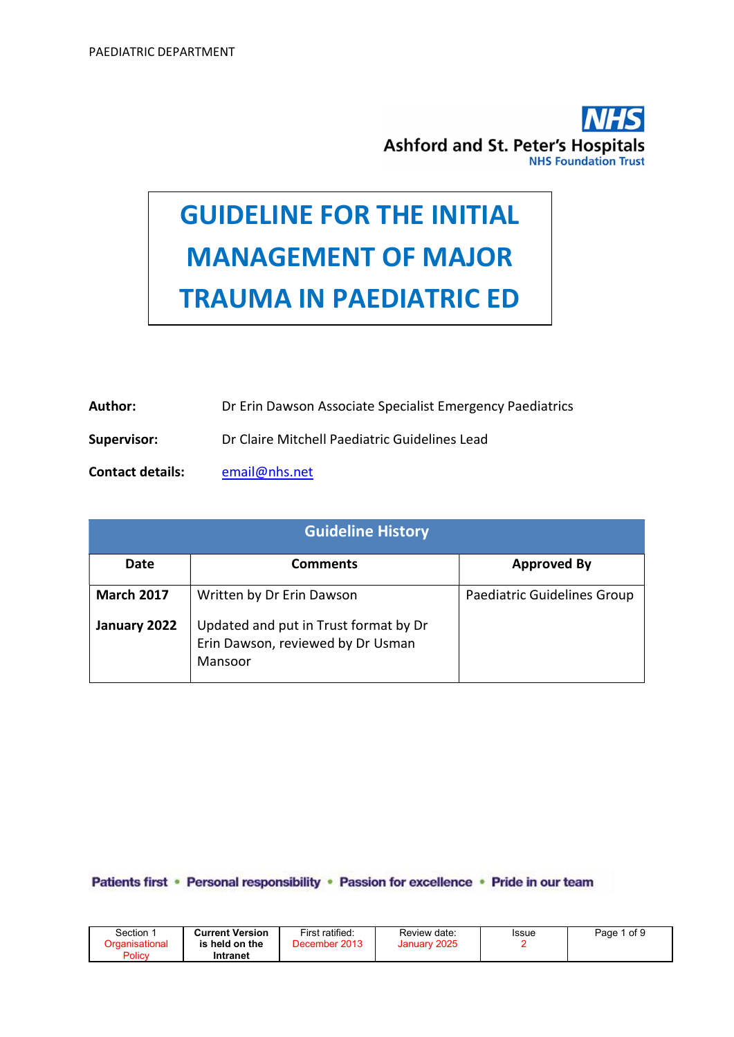

# GUIDELINE FOR THE INITIAL MANAGEMENT OF MAJOR TRAUMA IN PAEDIATRIC ED

- Author: Dr Erin Dawson Associate Specialist Emergency Paediatrics
- Supervisor: Dr Claire Mitchell Paediatric Guidelines Lead
- Contact details: email@nhs.net

| <b>Guideline History</b> |                                                                                       |                             |  |  |  |
|--------------------------|---------------------------------------------------------------------------------------|-----------------------------|--|--|--|
| Date                     | Comments                                                                              | <b>Approved By</b>          |  |  |  |
| <b>March 2017</b>        | Written by Dr Erin Dawson                                                             | Paediatric Guidelines Group |  |  |  |
| January 2022             | Updated and put in Trust format by Dr<br>Erin Dawson, reviewed by Dr Usman<br>Mansoor |                             |  |  |  |

Patients first • Personal responsibility • Passion for excellence • Pride in our team

| Section 1<br>Organisational<br>Policy | <b>Current Version</b><br>is held on the<br>Intranet | First ratified:<br>December 2013 | Review date:<br>January 2025 | <b>Issue</b> | Page 1 of 9 |
|---------------------------------------|------------------------------------------------------|----------------------------------|------------------------------|--------------|-------------|
|                                       |                                                      |                                  |                              |              |             |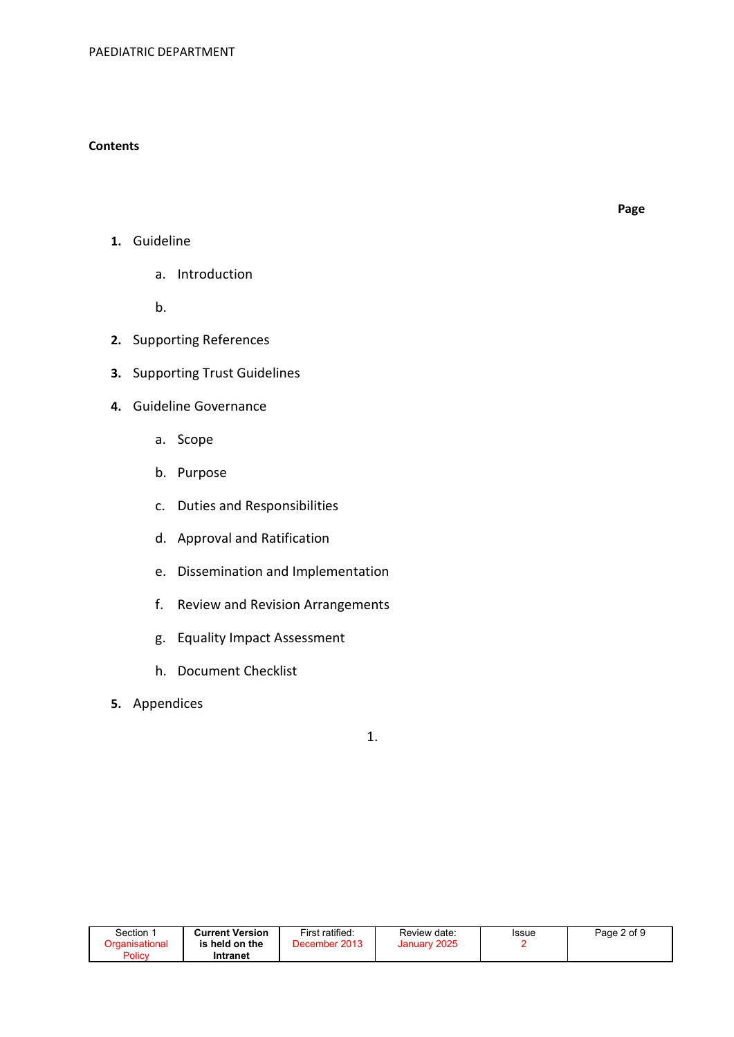#### **Contents**

- 1. Guideline
	- a. Introduction

b.

- 2. Supporting References
- 3. Supporting Trust Guidelines
- 4. Guideline Governance
	- a. Scope
	- b. Purpose
	- c. Duties and Responsibilities
	- d. Approval and Ratification
	- e. Dissemination and Implementation
	- f. Review and Revision Arrangements
	- g. Equality Impact Assessment
	- h. Document Checklist
- 5. Appendices

1.

| Section               | <b>Current Version</b> | First ratified: | Review date:    | Issue | Page 2 of 9 |
|-----------------------|------------------------|-----------------|-----------------|-------|-------------|
| <b>Draanisational</b> | is held on the         | December 2013   | 2025<br>January |       |             |
| <b>Policy</b>         | Intranet               |                 |                 |       |             |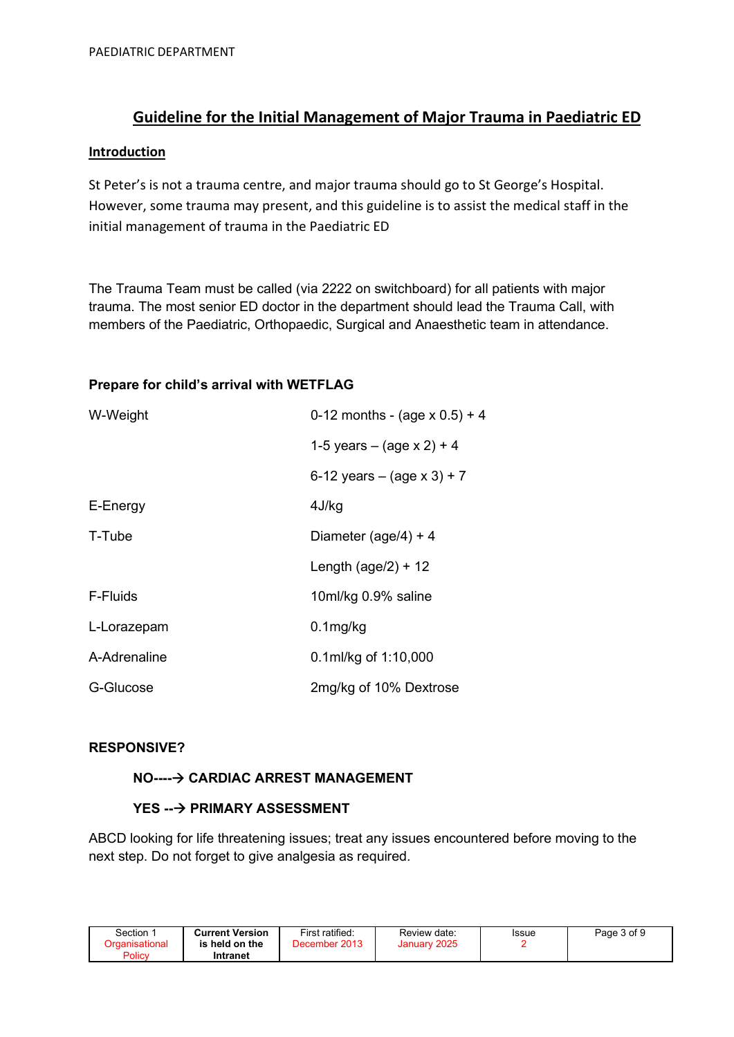# Guideline for the Initial Management of Major Trauma in Paediatric ED

#### **Introduction**

St Peter's is not a trauma centre, and major trauma should go to St George's Hospital. However, some trauma may present, and this guideline is to assist the medical staff in the initial management of trauma in the Paediatric ED

The Trauma Team must be called (via 2222 on switchboard) for all patients with major trauma. The most senior ED doctor in the department should lead the Trauma Call, with members of the Paediatric, Orthopaedic, Surgical and Anaesthetic team in attendance.

#### Prepare for child's arrival with WETFLAG

| W-Weight     | 0-12 months - (age $x$ 0.5) + 4 |
|--------------|---------------------------------|
|              | 1-5 years – (age $x 2$ ) + 4    |
|              | 6-12 years – (age $x$ 3) + 7    |
| E-Energy     | 4J/kg                           |
| T-Tube       | Diameter (age/4) + 4            |
|              | Length $(age/2) + 12$           |
| F-Fluids     | 10ml/kg 0.9% saline             |
| L-Lorazepam  | $0.1$ mg/kg                     |
| A-Adrenaline | 0.1ml/kg of 1:10,000            |
| G-Glucose    | 2mg/kg of 10% Dextrose          |

## RESPONSIVE?

# NO----- CARDIAC ARREST MANAGEMENT

#### YES ---> PRIMARY ASSESSMENT

ABCD looking for life threatening issues; treat any issues encountered before moving to the next step. Do not forget to give analgesia as required.

| Section :             | <b>Current Version</b> | First ratified: | Review date: | Issue | Page 3 of 9 |
|-----------------------|------------------------|-----------------|--------------|-------|-------------|
| <b>Organisational</b> | is held on the         | December 2013   | January 2025 |       |             |
| Policy                | Intranet               |                 |              |       |             |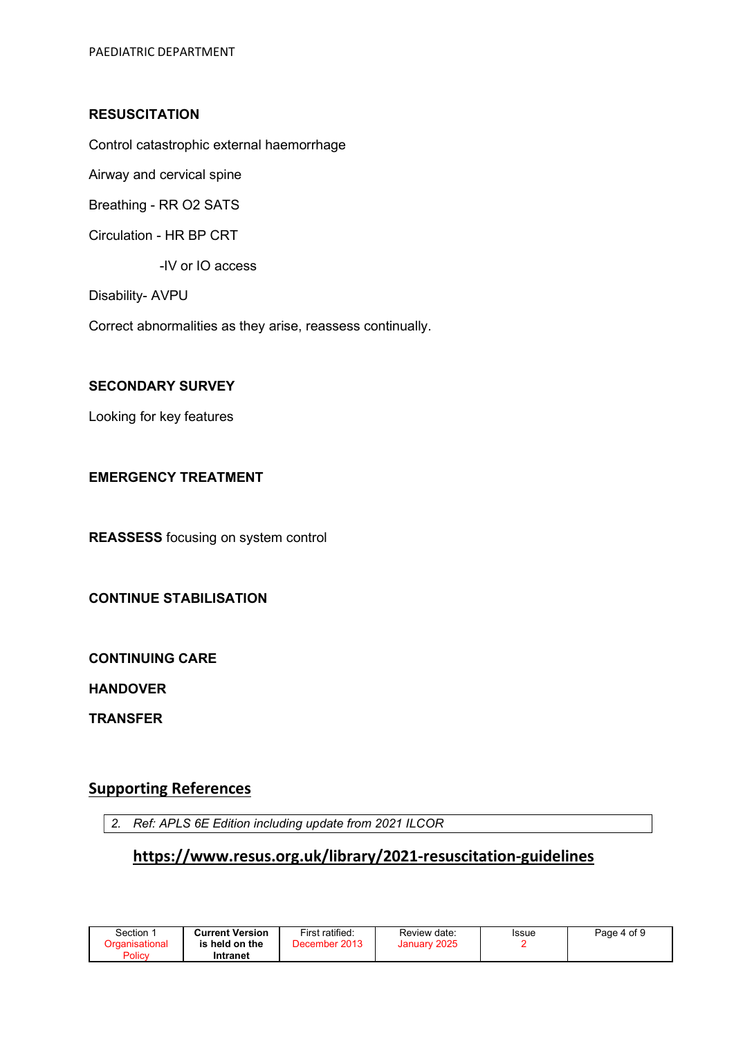## **RESUSCITATION**

Control catastrophic external haemorrhage

Airway and cervical spine

Breathing - RR O2 SATS

Circulation - HR BP CRT

-IV or IO access

Disability- AVPU

Correct abnormalities as they arise, reassess continually.

#### SECONDARY SURVEY

Looking for key features

# EMERGENCY TREATMENT

REASSESS focusing on system control

#### CONTINUE STABILISATION

CONTINUING CARE

HANDOVER

**TRANSFER** 

# Supporting References

2. Ref: APLS 6E Edition including update from 2021 ILCOR

# https://www.resus.org.uk/library/2021-resuscitation-guidelines

| Section               | <b>Current Version</b> | First ratified: | Review date: | Issue | Page 4 of 9 |
|-----------------------|------------------------|-----------------|--------------|-------|-------------|
| <b>Organisational</b> | is held on the         | December 2013   | January 2025 |       |             |
| Policy                | Intranet               |                 |              |       |             |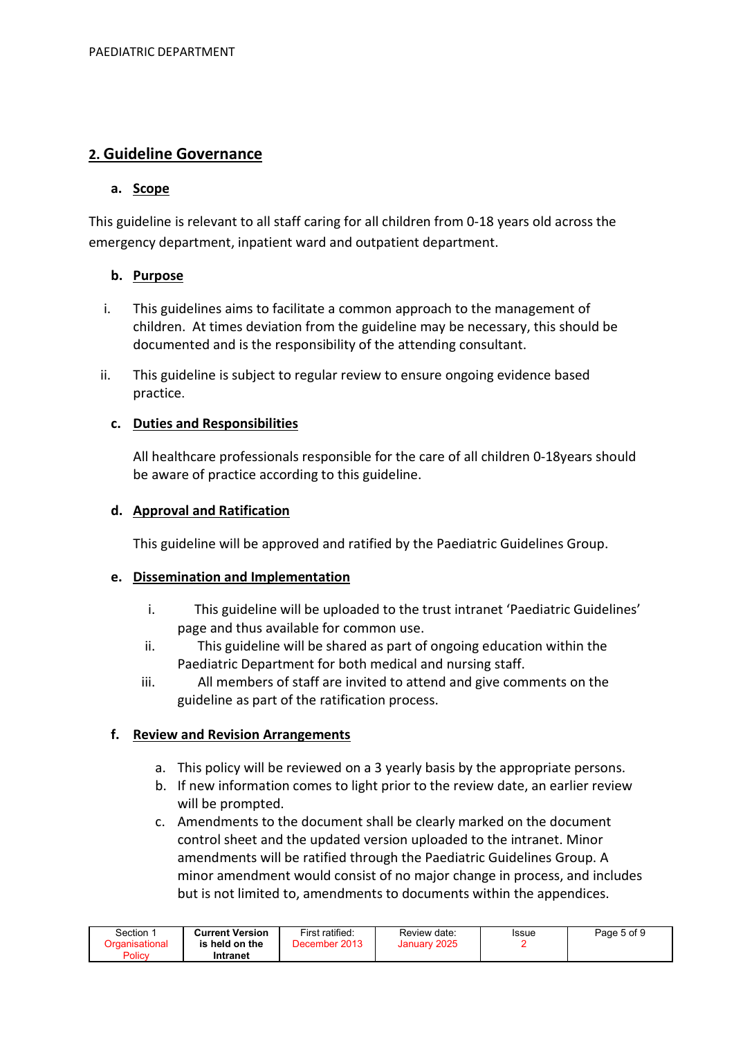# 2. Guideline Governance

# a. Scope

This guideline is relevant to all staff caring for all children from 0-18 years old across the emergency department, inpatient ward and outpatient department.

# b. Purpose

- i. This guidelines aims to facilitate a common approach to the management of children. At times deviation from the guideline may be necessary, this should be documented and is the responsibility of the attending consultant.
- ii. This guideline is subject to regular review to ensure ongoing evidence based practice.

## c. Duties and Responsibilities

All healthcare professionals responsible for the care of all children 0-18years should be aware of practice according to this guideline.

## d. Approval and Ratification

This guideline will be approved and ratified by the Paediatric Guidelines Group.

#### e. Dissemination and Implementation

- i. This guideline will be uploaded to the trust intranet 'Paediatric Guidelines' page and thus available for common use.
- ii. This guideline will be shared as part of ongoing education within the Paediatric Department for both medical and nursing staff.
- iii. All members of staff are invited to attend and give comments on the guideline as part of the ratification process.

# f. Review and Revision Arrangements

- a. This policy will be reviewed on a 3 yearly basis by the appropriate persons.
- b. If new information comes to light prior to the review date, an earlier review will be prompted.
- c. Amendments to the document shall be clearly marked on the document control sheet and the updated version uploaded to the intranet. Minor amendments will be ratified through the Paediatric Guidelines Group. A minor amendment would consist of no major change in process, and includes but is not limited to, amendments to documents within the appendices.

| Section               | <b>Current Version</b> | First ratified: | Review date: | Issue | Page 5 of 9 |
|-----------------------|------------------------|-----------------|--------------|-------|-------------|
| <b>Craanisational</b> | is held on the         | December 2013   | January 2025 |       |             |
| Policy                | Intranet               |                 |              |       |             |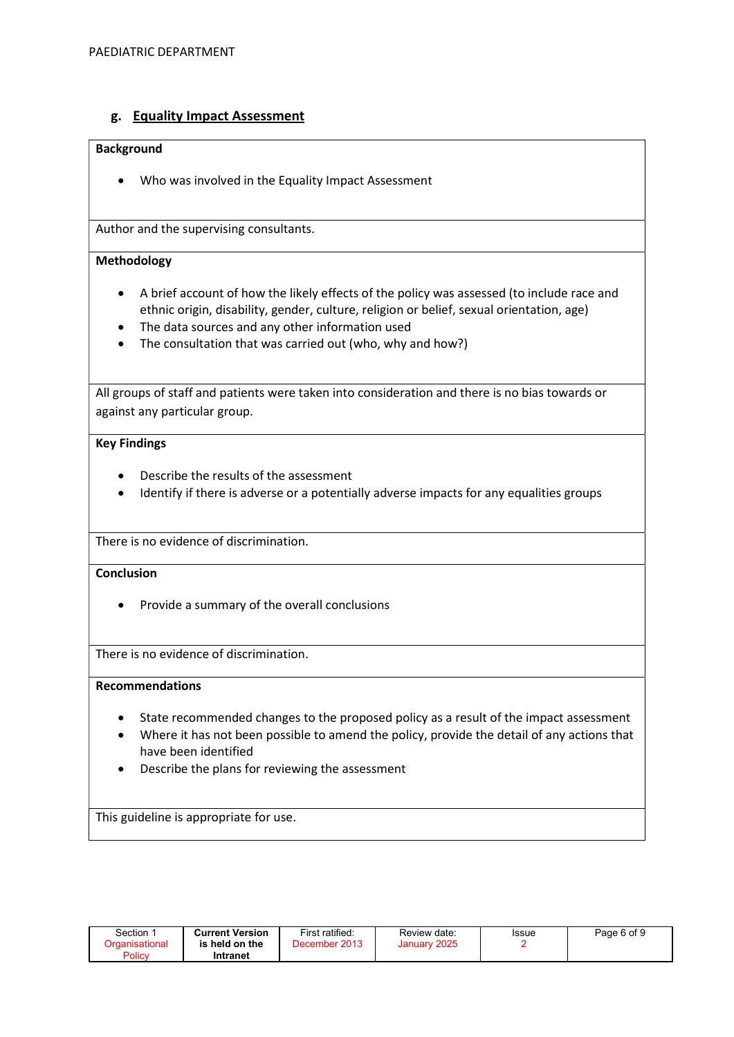## g. Equality Impact Assessment

#### Background

Who was involved in the Equality Impact Assessment

Author and the supervising consultants.

#### Methodology

- A brief account of how the likely effects of the policy was assessed (to include race and ethnic origin, disability, gender, culture, religion or belief, sexual orientation, age)
- The data sources and any other information used
- The consultation that was carried out (who, why and how?)

All groups of staff and patients were taken into consideration and there is no bias towards or against any particular group.

#### Key Findings

- Describe the results of the assessment
- Identify if there is adverse or a potentially adverse impacts for any equalities groups

There is no evidence of discrimination.

#### **Conclusion**

• Provide a summary of the overall conclusions

There is no evidence of discrimination.

#### Recommendations

- State recommended changes to the proposed policy as a result of the impact assessment
- Where it has not been possible to amend the policy, provide the detail of any actions that have been identified
- Describe the plans for reviewing the assessment

This guideline is appropriate for use.

| Section ∵<br>Organisational | <b>Current Version</b><br>is held on the | First ratified:<br>December 2013 | Review date:<br>January 2025 | Issue | Page 6 of 9 |
|-----------------------------|------------------------------------------|----------------------------------|------------------------------|-------|-------------|
| Policy                      | Intranet                                 |                                  |                              |       |             |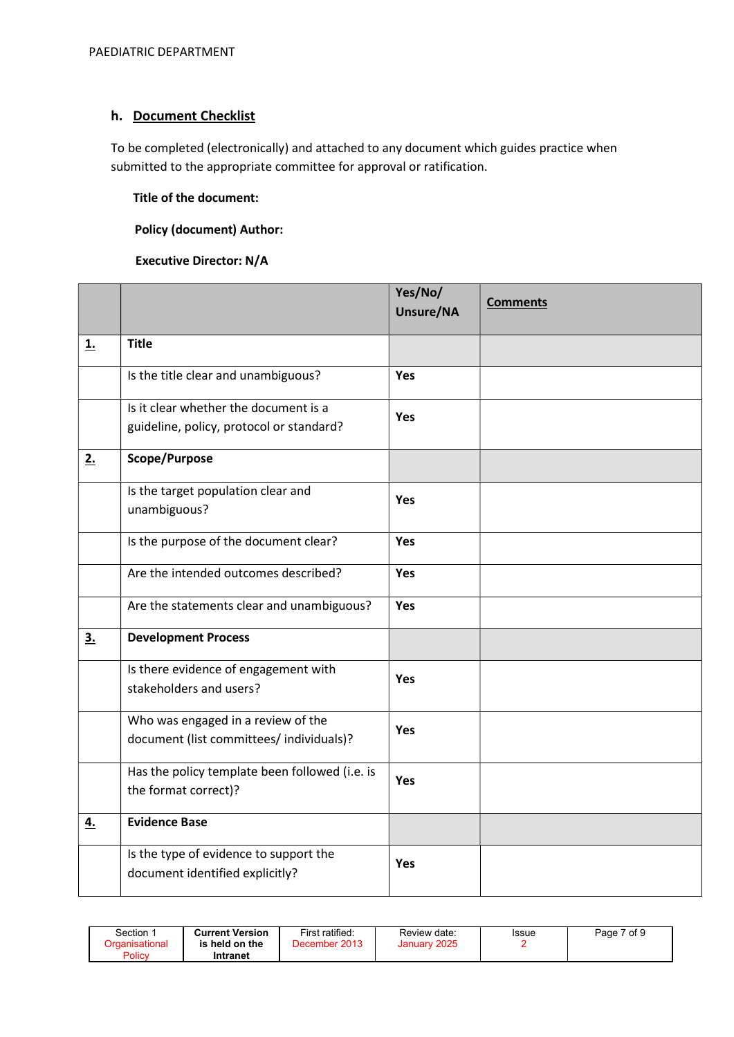# h. Document Checklist

To be completed (electronically) and attached to any document which guides practice when submitted to the appropriate committee for approval or ratification.

## Title of the document:

## Policy (document) Author:

#### Executive Director: N/A

|           |                                                                                   | Yes/No/<br>Unsure/NA | <b>Comments</b> |
|-----------|-----------------------------------------------------------------------------------|----------------------|-----------------|
| <u>1.</u> | <b>Title</b>                                                                      |                      |                 |
|           | Is the title clear and unambiguous?                                               | Yes                  |                 |
|           | Is it clear whether the document is a<br>guideline, policy, protocol or standard? | Yes                  |                 |
| 2.        | Scope/Purpose                                                                     |                      |                 |
|           | Is the target population clear and<br>unambiguous?                                | Yes                  |                 |
|           | Is the purpose of the document clear?                                             | Yes                  |                 |
|           | Are the intended outcomes described?                                              | Yes                  |                 |
|           | Are the statements clear and unambiguous?                                         | Yes                  |                 |
| 3.        | <b>Development Process</b>                                                        |                      |                 |
|           | Is there evidence of engagement with<br>stakeholders and users?                   | Yes                  |                 |
|           | Who was engaged in a review of the<br>document (list committees/ individuals)?    | <b>Yes</b>           |                 |
|           | Has the policy template been followed (i.e. is<br>the format correct)?            | Yes                  |                 |
| 4.        | <b>Evidence Base</b>                                                              |                      |                 |
|           | Is the type of evidence to support the<br>document identified explicitly?         | <b>Yes</b>           |                 |

| Section 1<br><b>Current Version</b><br>Organisational<br>is held on the<br>Policy<br>Intranet | First ratified:<br>December 2013 | Review date:<br>January 2025 | Issue | Page 7 of 9 |
|-----------------------------------------------------------------------------------------------|----------------------------------|------------------------------|-------|-------------|
|-----------------------------------------------------------------------------------------------|----------------------------------|------------------------------|-------|-------------|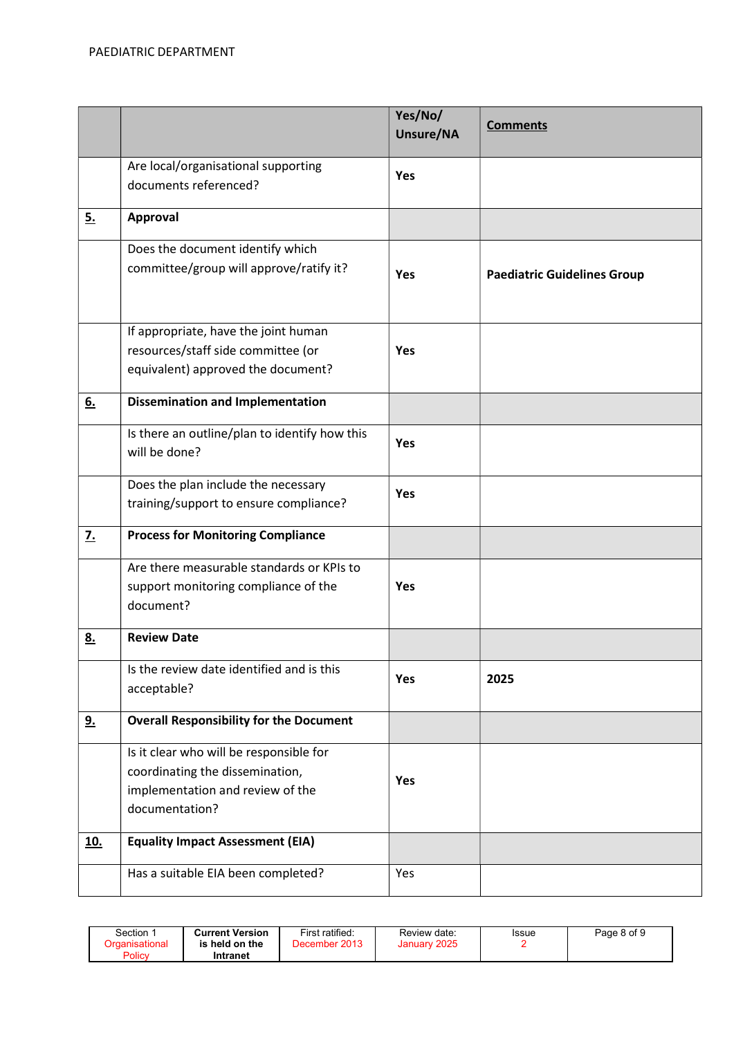|            |                                                                                                                                  | Yes/No/<br><b>Unsure/NA</b> | <b>Comments</b>                    |
|------------|----------------------------------------------------------------------------------------------------------------------------------|-----------------------------|------------------------------------|
|            | Are local/organisational supporting<br>documents referenced?                                                                     | <b>Yes</b>                  |                                    |
| 5.         | Approval                                                                                                                         |                             |                                    |
|            | Does the document identify which<br>committee/group will approve/ratify it?                                                      | <b>Yes</b>                  | <b>Paediatric Guidelines Group</b> |
|            | If appropriate, have the joint human<br>resources/staff side committee (or<br>equivalent) approved the document?                 | <b>Yes</b>                  |                                    |
| 6.         | <b>Dissemination and Implementation</b>                                                                                          |                             |                                    |
|            | Is there an outline/plan to identify how this<br>will be done?                                                                   | <b>Yes</b>                  |                                    |
|            | Does the plan include the necessary<br>training/support to ensure compliance?                                                    | <b>Yes</b>                  |                                    |
| <u>7.</u>  | <b>Process for Monitoring Compliance</b>                                                                                         |                             |                                    |
|            | Are there measurable standards or KPIs to<br>support monitoring compliance of the<br>document?                                   | Yes                         |                                    |
| <u>8.</u>  | <b>Review Date</b>                                                                                                               |                             |                                    |
|            | Is the review date identified and is this<br>acceptable?                                                                         | <b>Yes</b>                  | 2025                               |
| <u>9.</u>  | <b>Overall Responsibility for the Document</b>                                                                                   |                             |                                    |
|            | Is it clear who will be responsible for<br>coordinating the dissemination,<br>implementation and review of the<br>documentation? | Yes                         |                                    |
| <u>10.</u> | <b>Equality Impact Assessment (EIA)</b>                                                                                          |                             |                                    |
|            | Has a suitable EIA been completed?                                                                                               | Yes                         |                                    |

| Section<br>Organisational<br>Policy | <b>Current Version</b><br>held on the ہ<br>ıs<br>Intranet | First ratified:<br>December 2013 | Review date:<br>January 2025 | <b>Issue</b> | Page 8 of 9 |
|-------------------------------------|-----------------------------------------------------------|----------------------------------|------------------------------|--------------|-------------|
|-------------------------------------|-----------------------------------------------------------|----------------------------------|------------------------------|--------------|-------------|